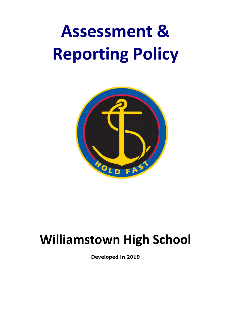# **Assessment & Reporting Policy**



## **Williamstown High School**

**Developed in 2019**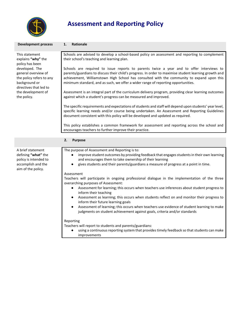

I

### **Assessment and Reporting Policy**

| <b>Development process</b>                                                                                                                        | <b>Rationale</b><br>1.                                                                                                                                                                                                                                                                                                                                                               |
|---------------------------------------------------------------------------------------------------------------------------------------------------|--------------------------------------------------------------------------------------------------------------------------------------------------------------------------------------------------------------------------------------------------------------------------------------------------------------------------------------------------------------------------------------|
| This statement<br>explains "why" the<br>policy has been                                                                                           | Schools are advised to develop a school-based policy on assessment and reporting to complement<br>their school's teaching and learning plan.                                                                                                                                                                                                                                         |
| developed. The<br>general overview of<br>the policy refers to any<br>background or<br>directives that led to<br>the development of<br>the policy. | Schools are required to issue reports to parents twice a year and to offer interviews to<br>parents/guardians to discuss their child's progress. In order to maximise student learning growth and<br>achievement, Williamstown High School has consulted with the community to expand upon this<br>minimum standard, and as such, we offer a wider range of reporting opportunities. |
|                                                                                                                                                   | Assessment is an integral part of the curriculum delivery program, providing clear learning outcomes<br>against which a student's progress can be measured and improved.                                                                                                                                                                                                             |
|                                                                                                                                                   | The specific requirements and expectations of students and staff will depend upon students' year level,<br>specific learning needs and/or course being undertaken. An Assessment and Reporting Guidelines<br>document consistent with this policy will be developed and updated as required.                                                                                         |
|                                                                                                                                                   | This policy establishes a common framework for assessment and reporting across the school and<br>encourages teachers to further improve their practice.                                                                                                                                                                                                                              |
|                                                                                                                                                   | 2.<br><b>Purpose</b>                                                                                                                                                                                                                                                                                                                                                                 |
| A brief statement<br>defining "what" the<br>policy is intended to<br>accomplish and the<br>aim of the policy.                                     | The purpose of Assessment and Reporting is to:<br>improve student outcomes by providing feedback that engages students in their own learning<br>and encourages them to take ownership of their learning<br>gives students and their parents/guardians a measure of progress at a point in time.<br>Assessment                                                                        |
|                                                                                                                                                   | Teachers will participate in ongoing professional dialogue in the implementation of the three<br>overarching purposes of Assessment:                                                                                                                                                                                                                                                 |
|                                                                                                                                                   | Assessment for learning; this occurs when teachers use inferences about student progress to<br>$\bullet$<br>inform their teaching<br>Assessment as learning; this occurs when students reflect on and monitor their progress to<br>$\bullet$                                                                                                                                         |
|                                                                                                                                                   | inform their future learning goals<br>Assessment of learning; this occurs when teachers use evidence of student learning to make<br>judgments on student achievement against goals, criteria and/or standards                                                                                                                                                                        |
|                                                                                                                                                   | Reporting<br>Teachers will report to students and parents/guardians:                                                                                                                                                                                                                                                                                                                 |
|                                                                                                                                                   | using a continuous reporting system that provides timely feedback so that students can make<br>improvements                                                                                                                                                                                                                                                                          |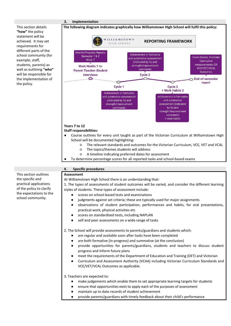#### This section details **"how"** the policy statement will be achieved. It may set requirements for different parts of the school community (for example, staff, students, parents) as well as outlining **"who"** will be responsible for the implementation of the policy.



- judgments against set criteria; these are typically used for major assignments
- observations of student participation, performances and habits, for oral presentations, practical work, physical activities etc
- scores on standardised tests, including NAPLAN
- self and peer assessments on a wide range of tasks

2. The School will provide assessments to parents/guardians and students which:

- are regular and available soon after tasks have been completed
- are both formative (in-progress) and summative (at the conclusion)
- provide opportunities for parents/guardians, students and teachers to discuss student progress and inform future plans
- meet the requirements of the Department of Education and Training (DET) and Victorian
- Curriculum and Assessment Authority (VCAA) including Victorian Curriculum Standards and VCE/VET/VCAL Outcomes as applicable.

3. Teachers are expected to:

- make judgements which enable them to set appropriate learning targets for students
- ensure that opportunities exist to apply each of the purposes of assessment
- maintain up to date records of student achievement
- provide parents/guardians with timely feedback about their child's performance

This section outlines the specific and practical applications of the policy to clarify the expectations to the school community.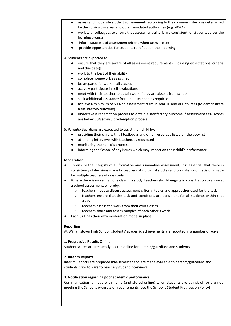- assess and moderate student achievements according to the common criteria as determined by the curriculum area, and other mandated authorities (e.g. VCAA).
- work with colleagues to ensure that assessment criteria are consistent for students across the learning program
- inform students of assessment criteria when tasks are set
- provide opportunities for students to reflect on their learning
- 4. Students are expected to:
	- ensure that they are aware of all assessment requirements, including expectations, criteria and due date(s)
	- work to the best of their ability
	- complete homework as assigned
	- be prepared for work in all classes
	- actively participate in self-evaluations
	- meet with their teacher to obtain work if they are absent from school
	- seek additional assistance from their teacher, as required
	- achieve a minimum of 50% on assessment tasks in Year 10 and VCE courses (to demonstrate a satisfactory outcome)
	- undertake a redemption process to obtain a satisfactory outcome if assessment task scores are below 50% (consult redemption process)

5. Parents/Guardians are expected to assist their child by:

- providing their child with all textbooks and other resources listed on the booklist
- attending interviews with teachers as requested
- monitoring their child's progress
- informing the School of any issues which may impact on their child's performance

#### **Moderation**

- To ensure the integrity of all formative and summative assessment, it is essential that there is consistency of decisions made by teachers of individual studies and consistency of decisions made by multiple teachers of one study.
- Where there is more than one class in a study, teachers should engage in consultation to arrive at a school assessment, whereby:
	- Teachers meet to discuss assessment criteria, topics and approaches used for the task
	- Teachers ensure that the task and conditions are consistent for all students within that study
	- Teachers assess the work from their own classes
	- Teachers share and assess samples of each other's work
- Each CAT has their own moderation model in place.

#### **Reporting**

At Williamstown High School, students' academic achievements are reported in a number of ways:

#### **1. Progressive Results Online**

Student scores are frequently posted online for parents/guardians and students

#### **2. Interim Reports**

Interim Reports are prepared mid-semester and are made available to parents/guardians and students prior to Parent/Teacher/Student interviews

#### **3. Notification regarding poor academic performance**

Communication is made with home (and stored online) when students are at risk of, or are not, meeting the School's progression requirements (see the School's Student Progression Policy)